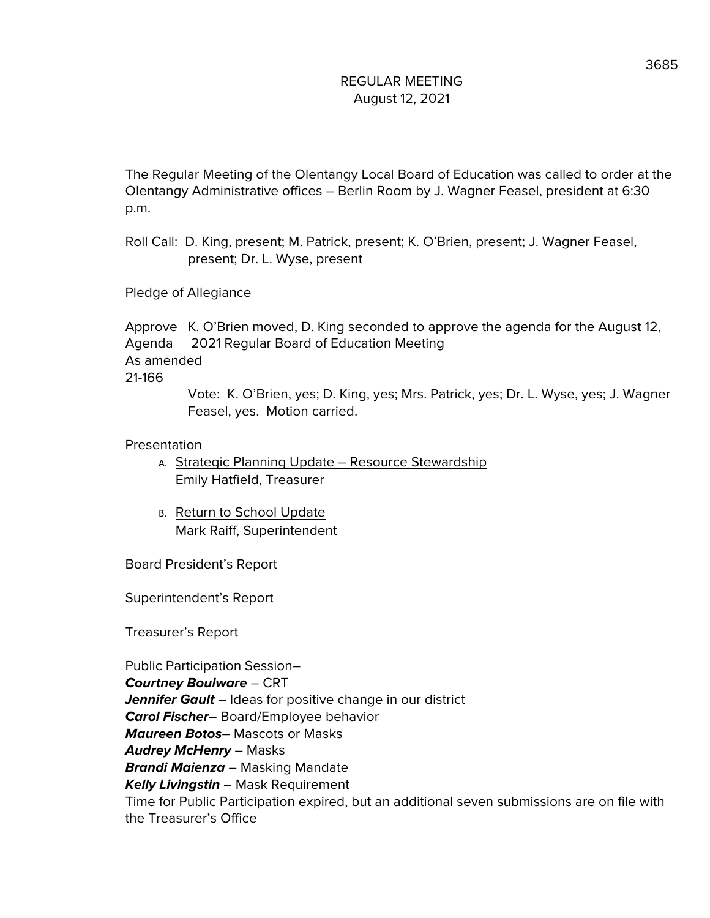The Regular Meeting of the Olentangy Local Board of Education was called to order at the Olentangy Administrative offices – Berlin Room by J. Wagner Feasel, president at 6:30 p.m.

Roll Call: D. King, present; M. Patrick, present; K. O'Brien, present; J. Wagner Feasel, present; Dr. L. Wyse, present

Pledge of Allegiance

Approve K. O'Brien moved, D. King seconded to approve the agenda for the August 12, Agenda 2021 Regular Board of Education Meeting As amended 21-166

Vote: K. O'Brien, yes; D. King, yes; Mrs. Patrick, yes; Dr. L. Wyse, yes; J. Wagner Feasel, yes. Motion carried.

### Presentation

- A. Strategic Planning Update Resource Stewardship Emily Hatfield, Treasurer
- B. Return to School Update Mark Raiff, Superintendent

Board President's Report

Superintendent's Report

Treasurer's Report

Public Participation Session– **Courtney Boulware** – CRT **Jennifer Gault** – Ideas for positive change in our district **Carol Fischer**– Board/Employee behavior **Maureen Botos**– Mascots or Masks **Audrey McHenry** – Masks **Brandi Maienza** – Masking Mandate **Kelly Livingstin** – Mask Requirement Time for Public Participation expired, but an additional seven submissions are on file with the Treasurer's Office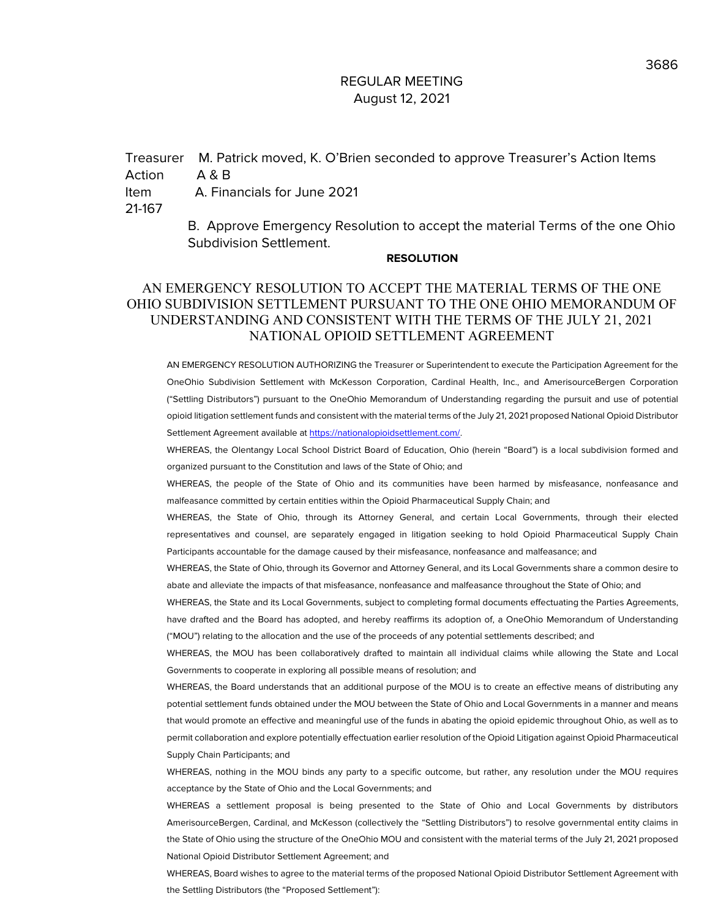Treasurer M. Patrick moved, K. O'Brien seconded to approve Treasurer's Action Items Action A & B Item A. Financials for June 2021 21-167

B. Approve Emergency Resolution to accept the material Terms of the one Ohio Subdivision Settlement.

#### **RESOLUTION**

### AN EMERGENCY RESOLUTION TO ACCEPT THE MATERIAL TERMS OF THE ONE OHIO SUBDIVISION SETTLEMENT PURSUANT TO THE ONE OHIO MEMORANDUM OF UNDERSTANDING AND CONSISTENT WITH THE TERMS OF THE JULY 21, 2021 NATIONAL OPIOID SETTLEMENT AGREEMENT

AN EMERGENCY RESOLUTION AUTHORIZING the Treasurer or Superintendent to execute the Participation Agreement for the OneOhio Subdivision Settlement with McKesson Corporation, Cardinal Health, Inc., and AmerisourceBergen Corporation ("Settling Distributors") pursuant to the OneOhio Memorandum of Understanding regarding the pursuit and use of potential opioid litigation settlement funds and consistent with the material terms of the July 21, 2021 proposed National Opioid Distributor Settlement Agreement available at https://nationalopioidsettlement.com/.

WHEREAS, the Olentangy Local School District Board of Education, Ohio (herein "Board") is a local subdivision formed and organized pursuant to the Constitution and laws of the State of Ohio; and

WHEREAS, the people of the State of Ohio and its communities have been harmed by misfeasance, nonfeasance and malfeasance committed by certain entities within the Opioid Pharmaceutical Supply Chain; and

WHEREAS, the State of Ohio, through its Attorney General, and certain Local Governments, through their elected representatives and counsel, are separately engaged in litigation seeking to hold Opioid Pharmaceutical Supply Chain Participants accountable for the damage caused by their misfeasance, nonfeasance and malfeasance; and

WHEREAS, the State of Ohio, through its Governor and Attorney General, and its Local Governments share a common desire to abate and alleviate the impacts of that misfeasance, nonfeasance and malfeasance throughout the State of Ohio; and

WHEREAS, the State and its Local Governments, subject to completing formal documents effectuating the Parties Agreements, have drafted and the Board has adopted, and hereby reaffirms its adoption of, a OneOhio Memorandum of Understanding

("MOU") relating to the allocation and the use of the proceeds of any potential settlements described; and

WHEREAS, the MOU has been collaboratively drafted to maintain all individual claims while allowing the State and Local Governments to cooperate in exploring all possible means of resolution; and

WHEREAS, the Board understands that an additional purpose of the MOU is to create an effective means of distributing any potential settlement funds obtained under the MOU between the State of Ohio and Local Governments in a manner and means that would promote an effective and meaningful use of the funds in abating the opioid epidemic throughout Ohio, as well as to permit collaboration and explore potentially effectuation earlier resolution of the Opioid Litigation against Opioid Pharmaceutical Supply Chain Participants; and

WHEREAS, nothing in the MOU binds any party to a specific outcome, but rather, any resolution under the MOU requires acceptance by the State of Ohio and the Local Governments; and

WHEREAS a settlement proposal is being presented to the State of Ohio and Local Governments by distributors AmerisourceBergen, Cardinal, and McKesson (collectively the "Settling Distributors") to resolve governmental entity claims in the State of Ohio using the structure of the OneOhio MOU and consistent with the material terms of the July 21, 2021 proposed National Opioid Distributor Settlement Agreement; and

WHEREAS, Board wishes to agree to the material terms of the proposed National Opioid Distributor Settlement Agreement with the Settling Distributors (the "Proposed Settlement"):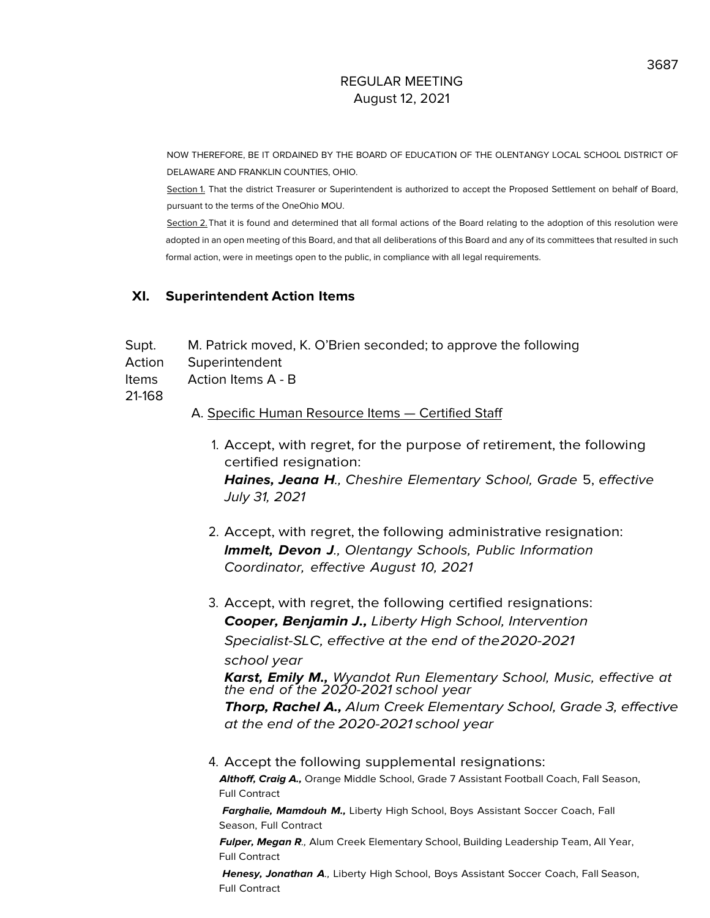NOW THEREFORE, BE IT ORDAINED BY THE BOARD OF EDUCATION OF THE OLENTANGY LOCAL SCHOOL DISTRICT OF DELAWARE AND FRANKLIN COUNTIES, OHIO.

Section 1. That the district Treasurer or Superintendent is authorized to accept the Proposed Settlement on behalf of Board, pursuant to the terms of the OneOhio MOU.

Section 2. That it is found and determined that all formal actions of the Board relating to the adoption of this resolution were adopted in an open meeting of this Board, and that all deliberations of this Board and any of its committees that resulted in such formal action, were in meetings open to the public, in compliance with all legal requirements.

### **XI. Superintendent Action Items**

- Supt. M. Patrick moved, K. O'Brien seconded; to approve the following
- Action Superintendent

Items Action Items A - B

21-168

### A. Specific Human Resource Items — Certified Staff

- 1. Accept, with regret, for the purpose of retirement, the following certified resignation: **Haines, Jeana H**., Cheshire Elementary School, Grade 5, effective July 31, 2021
- 2. Accept, with regret, the following administrative resignation: **lmmelt, Devon J**., Olentangy Schools, Public Information Coordinator, effective August 10, 2021
- 3. Accept, with regret, the following certified resignations: **Cooper, Benjamin J.,** Liberty High School, Intervention Specialist-SLC, effective at the end of the2020-2021

school year

**Karst, Emily M.,** Wyandot Run Elementary School, Music, effective at the end of the 2020-2021 school year

**Thorp, Rachel A.,** Alum Creek Elementary School, Grade 3, effective at the end of the 2020-2021 school year

4. Accept the following supplemental resignations: **Althoff, Craig A.,** Orange Middle School, Grade 7 Assistant Football Coach, Fall Season, Full Contract

**Farghalie, Mamdouh M.,** Liberty High School, Boys Assistant Soccer Coach, Fall Season, Full Contract

**Fulper, Megan R**., Alum Creek Elementary School, Building Leadership Team, All Year, Full Contract

**Henesy, Jonathan A**., Liberty High School, Boys Assistant Soccer Coach, Fall Season, Full Contract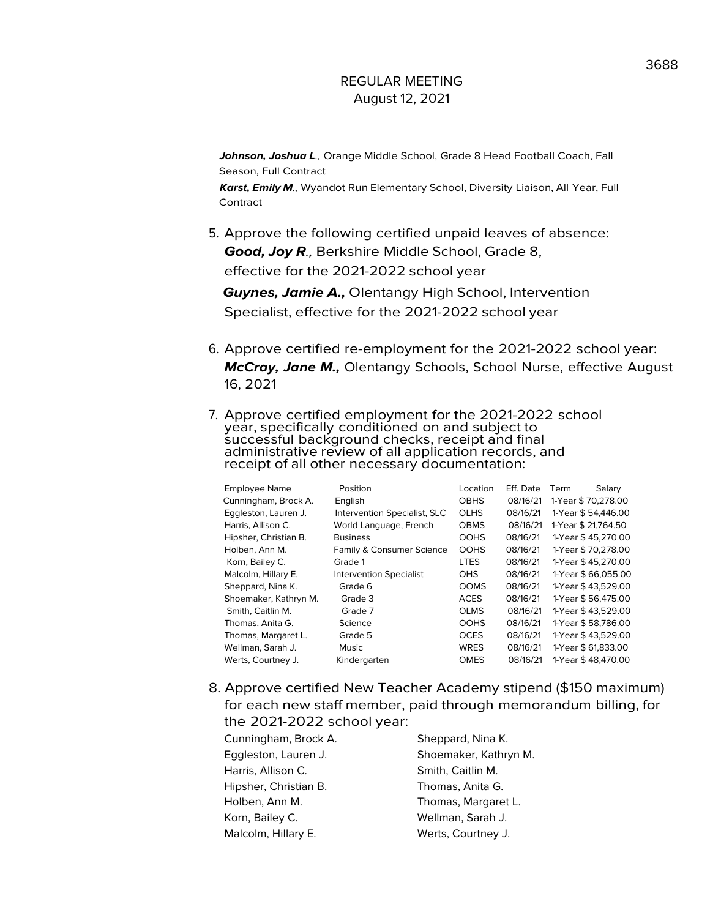**Johnson, Joshua L**., Orange Middle School, Grade 8 Head Football Coach, Fall Season, Full Contract

**Karst, Emily M**., Wyandot Run Elementary School, Diversity Liaison, All Year, Full Contract

5. Approve the following certified unpaid leaves of absence: **Good, Joy R**., Berkshire Middle School, Grade 8, effective for the 2021-2022 school year

**Guynes, Jamie A.,** Olentangy High School, Intervention Specialist, effective for the 2021-2022 school year

- 6. Approve certified re-employment for the 2021-2022 school year: **McCray, Jane M.,** Olentangy Schools, School Nurse, effective August 16, 2021
- 7. Approve certified employment for the 2021-2022 school year, specifically conditioned on and subject to successful background checks, receipt and final administrative review of all application records, and receipt of all other necessary documentation:

| <b>Employee Name</b>  | Position                       | Location    | Eff. Date | Salary<br>Term      |
|-----------------------|--------------------------------|-------------|-----------|---------------------|
| Cunningham, Brock A.  | English                        | <b>OBHS</b> | 08/16/21  | 1-Year \$70,278.00  |
| Eggleston, Lauren J.  | Intervention Specialist, SLC   | <b>OLHS</b> | 08/16/21  | 1-Year \$54,446.00  |
| Harris, Allison C.    | World Language, French         | <b>OBMS</b> | 08/16/21  | 1-Year \$ 21,764.50 |
| Hipsher, Christian B. | <b>Business</b>                | <b>OOHS</b> | 08/16/21  | 1-Year \$45,270.00  |
| Holben, Ann M.        | Family & Consumer Science      | <b>OOHS</b> | 08/16/21  | 1-Year \$70.278.00  |
| Korn, Bailey C.       | Grade 1                        | <b>LTES</b> | 08/16/21  | 1-Year \$45,270.00  |
| Malcolm, Hillary E.   | <b>Intervention Specialist</b> | <b>OHS</b>  | 08/16/21  | 1-Year \$66,055.00  |
| Sheppard, Nina K.     | Grade 6                        | <b>OOMS</b> | 08/16/21  | 1-Year \$43.529.00  |
| Shoemaker, Kathryn M. | Grade 3                        | <b>ACES</b> | 08/16/21  | 1-Year \$56,475.00  |
| Smith, Caitlin M.     | Grade 7                        | <b>OLMS</b> | 08/16/21  | 1-Year \$43,529.00  |
| Thomas, Anita G.      | Science                        | <b>OOHS</b> | 08/16/21  | 1-Year \$58,786.00  |
| Thomas, Margaret L.   | Grade 5                        | <b>OCES</b> | 08/16/21  | 1-Year \$43,529.00  |
| Wellman, Sarah J.     | Music                          | <b>WRES</b> | 08/16/21  | 1-Year \$ 61,833.00 |
| Werts, Courtney J.    | Kindergarten                   | <b>OMES</b> | 08/16/21  | 1-Year \$48,470.00  |
|                       |                                |             |           |                     |

8. Approve certified New Teacher Academy stipend (\$150 maximum) for each new staff member, paid through memorandum billing, for the 2021-2022 school year:

| Cunningham, Brock A.  | Sheppard, Nina K.     |
|-----------------------|-----------------------|
| Eggleston, Lauren J.  | Shoemaker, Kathryn M. |
| Harris, Allison C.    | Smith, Caitlin M.     |
| Hipsher, Christian B. | Thomas, Anita G.      |
| Holben, Ann M.        | Thomas, Margaret L.   |
| Korn, Bailey C.       | Wellman, Sarah J.     |
| Malcolm, Hillary E.   | Werts, Courtney J.    |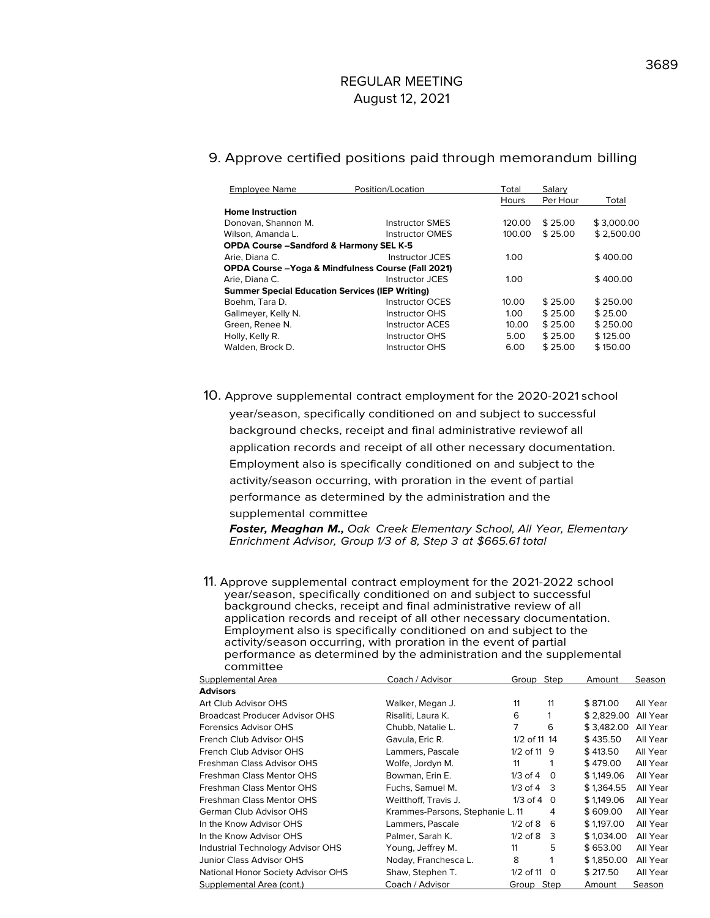#### 9. Approve certified positions paid through memorandum billing

| <b>Employee Name</b>                                           | Position/Location      | Total             | Salary   |            |  |  |  |
|----------------------------------------------------------------|------------------------|-------------------|----------|------------|--|--|--|
|                                                                |                        | Hours             | Per Hour | Total      |  |  |  |
| <b>Home Instruction</b>                                        |                        |                   |          |            |  |  |  |
| Donovan, Shannon M.                                            | <b>Instructor SMES</b> | 120.00            | \$25.00  | \$3.000.00 |  |  |  |
| Wilson, Amanda L.                                              | <b>Instructor OMES</b> | 100.00            | \$25.00  | \$2,500.00 |  |  |  |
| <b>OPDA Course -Sandford &amp; Harmony SEL K-5</b>             |                        |                   |          |            |  |  |  |
| Arie, Diana C.                                                 | Instructor JCES        | 1.00              |          | \$400.00   |  |  |  |
| <b>OPDA Course - Yoga &amp; Mindfulness Course (Fall 2021)</b> |                        |                   |          |            |  |  |  |
| Arie, Diana C.                                                 | Instructor JCES        | 1.00              |          | \$400.00   |  |  |  |
| <b>Summer Special Education Services (IEP Writing)</b>         |                        |                   |          |            |  |  |  |
| Boehm, Tara D.                                                 | Instructor OCES        | 10.00             | \$25.00  | \$250.00   |  |  |  |
| Gallmeyer, Kelly N.                                            | <b>Instructor OHS</b>  | 1.00 <sub>1</sub> | \$25.00  | \$25.00    |  |  |  |
| Green, Renee N.                                                | <b>Instructor ACES</b> | 10.00             | \$25.00  | \$250.00   |  |  |  |
| Holly, Kelly R.                                                | <b>Instructor OHS</b>  | 5.00              | \$25.00  | \$125.00   |  |  |  |
| Walden, Brock D.                                               | Instructor OHS         | 6.00              | \$25.00  | \$150.00   |  |  |  |

10. Approve supplemental contract employment for the 2020-2021 school

year/season, specifically conditioned on and subject to successful background checks, receipt and final administrative reviewof all application records and receipt of all other necessary documentation. Employment also is specifically conditioned on and subject to the activity/season occurring, with proration in the event of partial performance as determined by the administration and the supplemental committee

**Foster, Meaghan M.,** Oak Creek Elementary School, All Year, Elementary Enrichment Advisor, Group 1/3 of 8, Step 3 at \$665.61 total

11. Approve supplemental contract employment for the 2021-2022 school year/season, specifically conditioned on and subject to successful background checks, receipt and final administrative review of all application records and receipt of all other necessary documentation. Employment also is specifically conditioned on and subject to the activity/season occurring, with proration in the event of partial performance as determined by the administration and the supplemental committee

| Supplemental Area                  | Coach / Advisor                  | Group Step      |          | Amount     | Season   |
|------------------------------------|----------------------------------|-----------------|----------|------------|----------|
| <b>Advisors</b>                    |                                  |                 |          |            |          |
| Art Club Advisor OHS               | Walker, Megan J.                 | 11              | 11       | \$871.00   | All Year |
| Broadcast Producer Advisor OHS     | Risaliti, Laura K.               | 6               |          | \$2,829.00 | All Year |
| Forensics Advisor OHS              | Chubb, Natalie L.                | 7               | 6        | \$3,482,00 | All Year |
| French Club Advisor OHS            | Gavula, Eric R.                  | 1/2 of 11 14    |          | \$435.50   | All Year |
| French Club Advisor OHS            | Lammers, Pascale                 | $1/2$ of 11 $9$ |          | \$413.50   | All Year |
| Freshman Class Advisor OHS         | Wolfe, Jordyn M.                 | 11              | 1        | \$479.00   | All Year |
| Freshman Class Mentor OHS          | Bowman, Erin E.                  | $1/3$ of $4$    | $\Omega$ | \$1,149.06 | All Year |
| Freshman Class Mentor OHS          | Fuchs, Samuel M.                 | $1/3$ of 4 3    |          | \$1,364.55 | All Year |
| Freshman Class Mentor OHS          | Weitthoff, Travis J.             | $1/3$ of 4 0    |          | \$1,149.06 | All Year |
| German Club Advisor OHS            | Krammes-Parsons, Stephanie L. 11 |                 | 4        | \$609.00   | All Year |
| In the Know Advisor OHS            | Lammers, Pascale                 | $1/2$ of $8$    | 6        | \$1,197.00 | All Year |
| In the Know Advisor OHS            | Palmer, Sarah K.                 | $1/2$ of $8$    | 3        | \$1,034.00 | All Year |
| Industrial Technology Advisor OHS  | Young, Jeffrey M.                | 11              | 5        | \$653.00   | All Year |
| Junior Class Advisor OHS           | Noday, Franchesca L.             | 8               | 1        | \$1,850.00 | All Year |
| National Honor Society Advisor OHS | Shaw, Stephen T.                 | 1/2 of 11       | $\Omega$ | \$217.50   | All Year |
| Supplemental Area (cont.)          | Coach / Advisor                  | Group           | Step     | Amount     | Season   |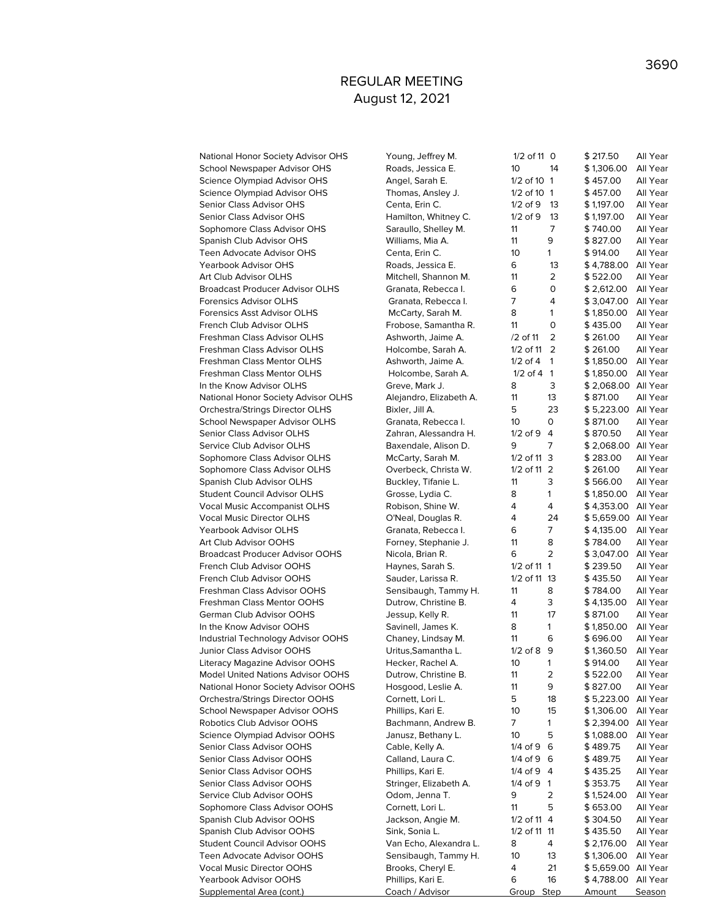National Honor Society Advisor OHS Young, 1988. School Newspaper Advisor OHS Reads, 1986. Science Olympiad Advisor OHS Angel, Sarah E. 17, 2012 Science Olympiad Advisor OHS Thomas Senior Class Advisor OHS Centa, Erin C. 1/2 of 9 13 \$ 1,197.00 All Year Senior Class Advisor OHS **Hamilton** Sophomore Class Advisor OHS 5a Spanish Club Advisor OHS Williams, Mia A. 11 9 & 11 9 & 12 827.00 Minutes and Mi Teen Advocate Advisor OHS 61.000 C Yearbook Advisor OHS **Roads** Art Club Advisor OLHS M. 11 2 32.00 M. Broadcast Producer Advisor OLHS 6 Forensics Advisor OLHS 6 Forensics Asst Advisor OLHS Manufacturer M French Club Advisor OLHS Frobose, Samantha R. 11 0 \$ 435.00 All Year Freshman Class Advisor OLHS **A.** Freshman Class Advisor OLHS Help Freshman Class Mentor OLHS **A.** Freshman Class Mentor OLHS https://2020.000 A. In the Know Advisor OLHS **Green** National Honor Society Advisor OLHS A. Orchestra/Strings Director OLHS **Bixler** School Newspaper Advisor OLHS 6 Senior Class Advisor OLHS **Zahran, Alessandra H. 17** Service Club Advisor OLHS **Bayer Club** Sophomore Class Advisor OLHS M Sophomore Class Advisor OLHS **Our 10 O** Spanish Club Advisor OLHS Buckley, The Buckley, The Buckley, The Buckley, The Buckley, The Buckley, The Buckley, The Buckley, The Buckley, The Buckley, The Buckley, The Buckley, The Buckley, The Buckley, The Buckley, The B Student Council Advisor OLHS 6 Vocal Music Accompanist OLHS **Reports** Vocal Music Director OLHS 6,659.00 All Years R. 4 24 5,659.00 All Years R. 4 24 5,669.00 All Years R. 4 24 5,659.00 All Years R. 4 24 5,669.00 All Years R. 4 24 5,669.00 All Years R. 4 24 5,669.00 A. Yearbook Advisor OLHS **Granada** Art Club Advisor OOHS Former Stephanie J. 11 8 54.00 Fr. Broadcast Producer Advisor OOHS Nicola French Club Advisor OOHS Haynes, Sarah S. 11 French Club Advisor OOHS Sa Freshman Class Advisor OOHS 56 Freshman Class Mentor OOHS **D** German Club Advisor OOHS Jesup, Kelly R. 11 In the Know Advisor OOHS 5 Industrial Technology Advisor OOHS Clands Junior Class Advisor OOHS **URITUS** Literacy Magazine Advisor OOHS H Model United Nations Advisor OOHS Dutrow National Honor Society Advisor OOHS H Orchestra/Strings Director OOHS 6,2 School Newspaper Advisor OOHS Phillips, Range and Phillips, Range and Phillips, Range and Phillips, Range and P Robotics Club Advisor OOHS Bachmann, Bachmann, Bachmann, Bachmann, Bachmann, Bachmann, Bachmann, Bachmann, Bachmann, Bachmann, Bachmann, Bachmann, Bachmann, Bachmann, Bachmann, Bachmann, Bachmann, Bachmann, Bachmann, Bachm Science Olympiad Advisor OOHS Ja Senior Class Advisor OOHS Cable, Kelly A. 1/4 of 9 6 \$ 489.75 All Year Senior Class Advisor OOHS Calland, Laura C. 1/4 of 9 6 \$ 489.75 All Year Senior Class Advisor OOHS **Phillips** Senior Class Advisor OOHS 51 Service Club Advisor OOHS **ODOM** Sophomore Class Advisor OOHS 65 Spanish Club Advisor OOHS Jackson Spanish Club Advisor OOHS Sink, Sonia L. 1998. Student Council Advisor OOHS Van Echo, Alexandra L. 8 4 % 2014 Teen Advocate Advisor OOHS 56 Vocal Music Director OOHS **Brooks** Yearbook Advisor OOHS **Phillips** Supplemental Area (cont.) Combined Amount Supplemental Area (cont.)

| oung, Jeffrey M.               | 1/2 of 11 0  |        | \$217.50                 | All Year             |
|--------------------------------|--------------|--------|--------------------------|----------------------|
| oads, Jessica E.               | 10           | 14     | \$1,306.00               | All Year             |
| ngel, Sarah E.                 | 1/2 of 10    | 1      | \$457.00                 | All Year             |
| homas, Ansley J.               | 1/2 of 10    | 1      | \$457.00                 | All Year             |
| enta, Erin C.                  | $1/2$ of $9$ | 13     | \$1,197.00               | All Year             |
| amilton, Whitney C.            | $1/2$ of $9$ | 13     | \$1,197.00               | All Year             |
| araullo, Shelley M.            | 11           | 7      | \$ 740.00                | All Year             |
| 'illiams, Mia A.               | 11           | 9      | \$ 827.00                | All Year             |
| enta, Erin C.                  | 10           | 1      | \$914.00                 | All Year             |
| oads, Jessica E.               | 6            | 13     | \$4,788.00               | All Year             |
|                                | 11           | 2      | \$522.00                 |                      |
| litchell, Shannon M.           | 6            | 0      |                          | All Year<br>All Year |
| ranata, Rebecca I.             | 7            | 4      | \$2,612.00<br>\$3,047.00 | All Year             |
| Granata, Rebecca I.            |              |        |                          |                      |
| <b>AcCarty, Sarah M.</b>       | 8            | 1      | \$1,850.00               | All Year             |
| robose, Samantha R.            | 11           | 0      | \$435.00                 | All Year             |
| shworth, Jaime A.              | /2 of 11     | 2      | \$261.00                 | All Year             |
| olcombe, Sarah A.              | 1/2 of 11    | 2      | \$261.00                 | All Year             |
| shworth, Jaime A.              | $1/2$ of $4$ | 1      | \$1,850.00               | All Year             |
| Iolcombe, Sarah A.             | $1/2$ of 4   | 1      | \$1,850.00               | All Year             |
| reve, Mark J.                  | 8            | 3      | \$2,068.00               | All Year             |
| lejandro, Elizabeth A.         | 11           | 13     | \$871.00                 | All Year             |
| ixler, Jill A.                 | 5            | 23     | \$5,223.00               | All Year             |
| ranata, Rebecca I.             | 10           | 0      | \$871.00                 | All Year             |
| ahran, Alessandra H.           | $1/2$ of 9   | 4      | \$870.50                 | All Year             |
| axendale, Alison D.            | 9            | 7      | \$2,068.00               | All Year             |
| <b>cCarty, Sarah M.</b>        | 1/2 of 11    | 3      | \$283.00                 | All Year             |
| verbeck, Christa W.            | 1/2 of 11    | 2      | \$261.00                 | All Year             |
| uckley, Tifanie L.             | 11           | 3      | \$566.00                 | All Year             |
| rosse, Lydia C.                | 8            | 1      | \$1,850.00               | All Year             |
| obison, Shine W.               | 4            | 4      | \$4,353.00               | All Year             |
| 'Neal, Douglas R.              | 4            | 24     | \$5,659.00               | All Year             |
| ranata, Rebecca I.             | 6            | 7      | \$4,135.00               | All Year             |
| orney, Stephanie J.            | 11           | 8      | \$784.00                 | All Year             |
| icola, Brian R.                | 6            | 2      | \$3,047.00               | All Year             |
| aynes, Sarah S.                | 1/2 of 11    | 1      | \$239.50                 | All Year             |
| auder, Larissa R.              | 1/2 of 11    | 13     | \$ 435.50                | All Year             |
| ensibaugh, Tammy H.            | 11           | 8      | \$784.00                 | All Year             |
| utrow, Christine B.            | 4            | 3      | \$4,135.00               | All Year             |
| essup, Kelly R.                | 11           | 17     | \$871.00                 | All Year             |
| avinell, James K.              | 8            | 1      | \$1,850.00               | All Year             |
| haney, Lindsay M.              | 11           | 6      | \$696.00                 | All Year             |
| ritus, Samantha L.             | $1/2$ of $8$ | 9      | \$1,360.50               | All Year             |
| ecker, Rachel A.               | 10           | 1      | \$914.00                 | All Year             |
| utrow, Christine B.            |              |        | \$522.00                 | All Year             |
|                                | 11<br>11     | 2<br>9 |                          |                      |
| osgood, Leslie A.              |              |        | \$827.00                 | All Year             |
| ornett, Lori L.                | 5            | 18     | \$5,223.00               | All Year             |
| hillips, Kari E.               | 10           | 15     | \$1,306.00               | All Year             |
| achmann, Andrew B.             | 7            | 1      | \$2,394.00               | All Year             |
| anusz, Bethany L.              | 10           | 5      | \$1,088.00               | All Year             |
| able, Kelly A.                 | 1/4 of 9     | 6      | \$489.75                 | All Year             |
| alland, Laura C <mark>.</mark> | 1/4 of 9     | 6      | \$489.75                 | All Year             |
| hillips, Kari E.               | 1/4 of 9     | 4      | \$435.25                 | All Year             |
| tringer, Elizabeth A.          | 1/4 of 9     | 1      | \$353.75                 | All Year             |
| dom, Jenna T.                  | 9            | 2      | \$1,524.00               | All Year             |
| ornett, Lori L.                | 11           | 5      | \$653.00                 | All Year             |
| ackson, Angie M.               | 1/2 of 11    | 4      | \$304.50                 | All Year             |
| ink, Sonia L.                  | 1/2 of 11    | 11     | \$435.50                 | All Year             |
| an Echo, Alexandra L.          | 8            | 4      | \$2,176.00               | All Year             |
| ensibaugh, Tammy H.            | 10           | 13     | \$1,306.00               | All Year             |
| rooks, Cheryl E.               | 4            | 21     | \$5,659.00               | All Year             |
| hillips, Kari E.               | 6            | 16     | \$4,788.00               | All Year             |
| <u>oach / Advisor</u>          | Group Step   |        | <u>Amount</u>            | <u>Season</u>        |
|                                |              |        |                          |                      |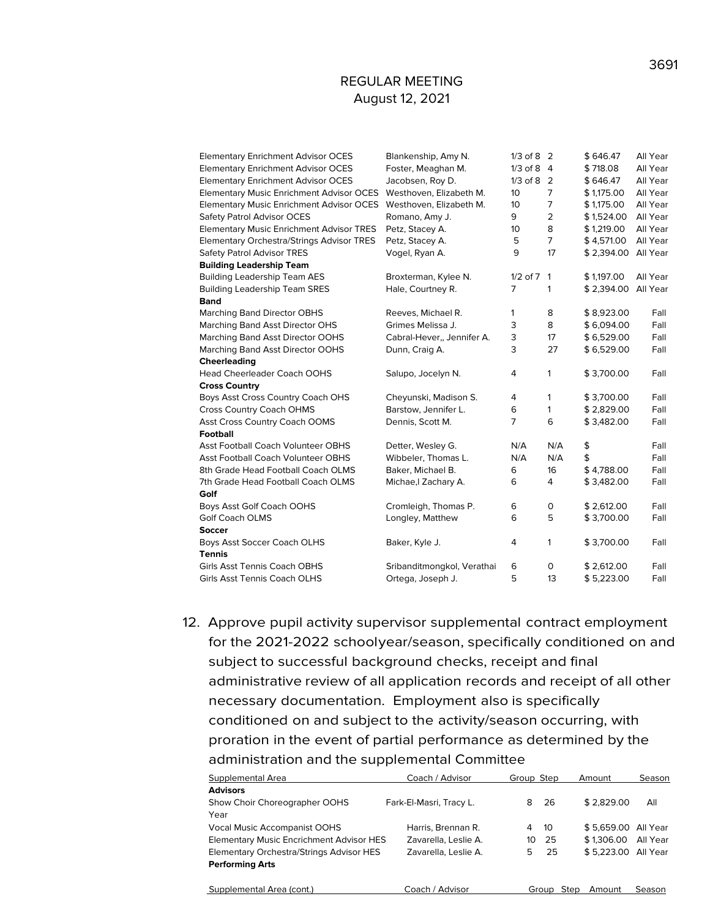| <b>Elementary Enrichment Advisor OCES</b>        | Blankenship, Amy N.        | $1/3$ of 8 2   |                | \$646.47   | All Year |
|--------------------------------------------------|----------------------------|----------------|----------------|------------|----------|
| <b>Elementary Enrichment Advisor OCES</b>        | Foster, Meaghan M.         | $1/3$ of 8 4   |                | \$718.08   | All Year |
| <b>Elementary Enrichment Advisor OCES</b>        | Jacobsen, Roy D.           | $1/3$ of 8 2   |                | \$646.47   | All Year |
| <b>Elementary Music Enrichment Advisor OCES</b>  | Westhoven, Elizabeth M.    | 10             | $\overline{7}$ | \$1,175.00 | All Year |
| <b>Elementary Music Enrichment Advisor OCES</b>  | Westhoven, Elizabeth M.    | 10             | 7              | \$1,175.00 | All Year |
| Safety Patrol Advisor OCES                       | Romano, Amy J.             | 9              | $\overline{2}$ | \$1,524.00 | All Year |
| <b>Elementary Music Enrichment Advisor TRES</b>  | Petz, Stacey A.            | 10             | 8              | \$1,219.00 | All Year |
| <b>Elementary Orchestra/Strings Advisor TRES</b> | Petz, Stacey A.            | 5              | $\overline{7}$ | \$4,571.00 | All Year |
| Safety Patrol Advisor TRES                       | Vogel, Ryan A.             | 9              | 17             | \$2,394.00 | All Year |
| <b>Building Leadership Team</b>                  |                            |                |                |            |          |
| <b>Building Leadership Team AES</b>              | Broxterman, Kylee N.       | $1/2$ of $7$ 1 |                | \$1,197.00 | All Year |
| <b>Building Leadership Team SRES</b>             | Hale, Courtney R.          | 7              | 1              | \$2,394.00 | All Year |
| <b>Band</b>                                      |                            |                |                |            |          |
| <b>Marching Band Director OBHS</b>               | Reeves, Michael R.         | 1              | 8              | \$8,923.00 | Fall     |
| Marching Band Asst Director OHS                  | Grimes Melissa J.          | 3              | 8              | \$6,094.00 | Fall     |
| Marching Band Asst Director OOHS                 | Cabral-Hever,, Jennifer A. | 3              | 17             | \$6,529.00 | Fall     |
| Marching Band Asst Director OOHS                 | Dunn, Craig A.             | 3              | 27             | \$6,529.00 | Fall     |
| Cheerleading                                     |                            |                |                |            |          |
| <b>Head Cheerleader Coach OOHS</b>               | Salupo, Jocelyn N.         | 4              | 1              | \$3,700.00 | Fall     |
| <b>Cross Country</b>                             |                            |                |                |            |          |
| Boys Asst Cross Country Coach OHS                | Cheyunski, Madison S.      | 4              | 1              | \$3,700.00 | Fall     |
| <b>Cross Country Coach OHMS</b>                  | Barstow, Jennifer L.       | 6              | $\mathbf{1}$   | \$2,829.00 | Fall     |
| Asst Cross Country Coach OOMS                    | Dennis, Scott M.           | 7              | 6              | \$3,482.00 | Fall     |
| <b>Football</b>                                  |                            |                |                |            |          |
| <b>Asst Football Coach Volunteer OBHS</b>        | Detter, Wesley G.          | N/A            | N/A            | \$         | Fall     |
| <b>Asst Football Coach Volunteer OBHS</b>        | Wibbeler, Thomas L.        | N/A            | N/A            | \$         | Fall     |
| 8th Grade Head Football Coach OLMS               | Baker, Michael B.          | 6              | 16             | \$4,788.00 | Fall     |
| 7th Grade Head Football Coach OLMS               | Michae, I Zachary A.       | 6              | 4              | \$3,482.00 | Fall     |
| Golf                                             |                            |                |                |            |          |
| Boys Asst Golf Coach OOHS                        | Cromleigh, Thomas P.       | 6              | 0              | \$2,612.00 | Fall     |
| <b>Golf Coach OLMS</b>                           | Longley, Matthew           | 6              | 5              | \$3,700.00 | Fall     |
| Soccer                                           |                            |                |                |            |          |
| Boys Asst Soccer Coach OLHS                      | Baker, Kyle J.             | 4              | 1              | \$3,700.00 | Fall     |
| <b>Tennis</b>                                    |                            |                |                |            |          |
| <b>Girls Asst Tennis Coach OBHS</b>              | Sribanditmongkol, Verathai | 6              | $\circ$        | \$2,612.00 | Fall     |
| Girls Asst Tennis Coach OLHS                     |                            |                |                |            |          |

12. Approve pupil activity supervisor supplemental contract employment for the 2021-2022 schoolyear/season, specifically conditioned on and subject to successful background checks, receipt and final administrative review of all application records and receipt of all other necessary documentation. Employment also is specifically conditioned on and subject to the activity/season occurring, with proration in the event of partial performance as determined by the administration and the supplemental Committee

| Supplemental Area                               | Coach / Advisor         | Group Step |       | Amount              | Season   |
|-------------------------------------------------|-------------------------|------------|-------|---------------------|----------|
| <b>Advisors</b>                                 |                         |            |       |                     |          |
| Show Choir Choreographer OOHS                   | Fark-El-Masri, Tracy L. | 8          | 26    | \$2.829.00          | All      |
| Year                                            |                         |            |       |                     |          |
| <b>Vocal Music Accompanist OOHS</b>             | Harris, Brennan R.      | 4          | -10   | \$5.659.00 All Year |          |
| <b>Elementary Music Encrichment Advisor HES</b> | Zavarella, Leslie A.    | 10         | 25    | \$1,306.00          | All Year |
| Elementary Orchestra/Strings Advisor HES        | Zavarella, Leslie A.    | 5.         | 25    | \$5.223.00          | All Year |
| <b>Performing Arts</b>                          |                         |            |       |                     |          |
|                                                 |                         |            |       |                     |          |
| Supplemental Area (cont.)                       | Coach / Advisor         |            | Group | Step<br>Amount      | Season   |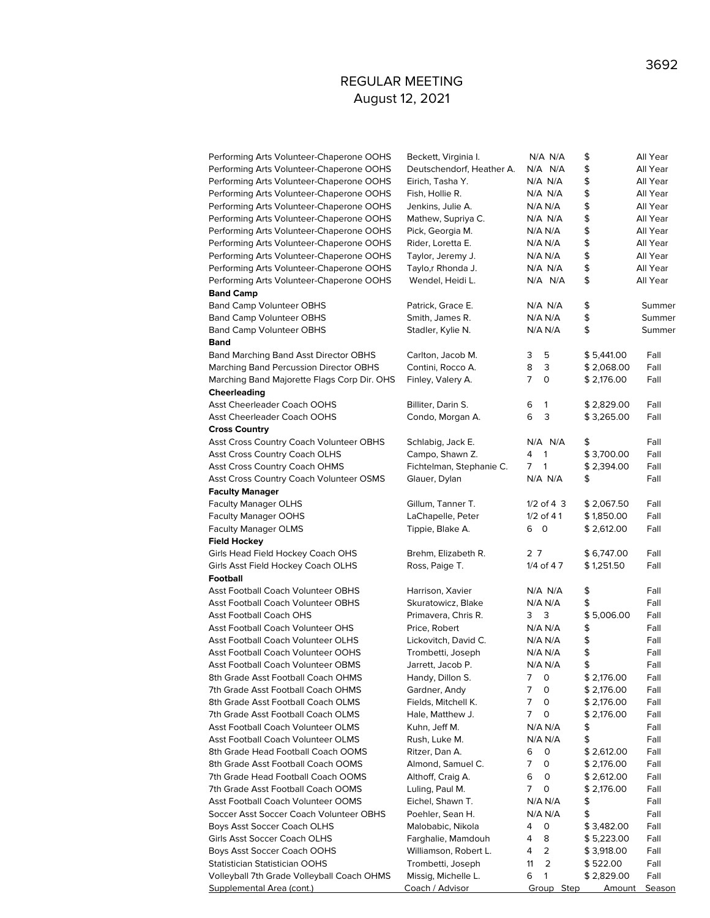| Performing Arts Volunteer-Chaperone OOHS    | Beckett, Virginia I.      |    | $N/A$ $N/A$  | \$            | All Year |
|---------------------------------------------|---------------------------|----|--------------|---------------|----------|
| Performing Arts Volunteer-Chaperone OOHS    | Deutschendorf, Heather A. |    | $N/A$ $N/A$  | \$            | All Year |
| Performing Arts Volunteer-Chaperone OOHS    | Eirich, Tasha Y.          |    | $N/A$ $N/A$  | \$            | All Year |
| Performing Arts Volunteer-Chaperone OOHS    | Fish, Hollie R.           |    | $N/A$ $N/A$  | \$            | All Year |
| Performing Arts Volunteer-Chaperone OOHS    | Jenkins, Julie A.         |    | N/A N/A      | \$            | All Year |
| Performing Arts Volunteer-Chaperone OOHS    | Mathew, Supriya C.        |    | N/A N/A      | \$            | All Year |
| Performing Arts Volunteer-Chaperone OOHS    | Pick, Georgia M.          |    | N/A N/A      | \$            | All Year |
| Performing Arts Volunteer-Chaperone OOHS    | Rider, Loretta E.         |    | N/A N/A      | \$            | All Year |
| Performing Arts Volunteer-Chaperone OOHS    | Taylor, Jeremy J.         |    | N/A N/A      | \$            | All Year |
| Performing Arts Volunteer-Chaperone OOHS    | Taylo,r Rhonda J.         |    | $N/A$ $N/A$  | \$            | All Year |
| Performing Arts Volunteer-Chaperone OOHS    | Wendel, Heidi L.          |    | $N/A$ $N/A$  | \$            | All Year |
| <b>Band Camp</b>                            |                           |    |              |               |          |
| <b>Band Camp Volunteer OBHS</b>             | Patrick, Grace E.         |    | N/A N/A      | \$            | Summer   |
| <b>Band Camp Volunteer OBHS</b>             | Smith, James R.           |    | N/A N/A      | \$            | Summer   |
| <b>Band Camp Volunteer OBHS</b>             | Stadler, Kylie N.         |    | N/A N/A      | \$            | Summer   |
| <b>Band</b>                                 |                           |    |              |               |          |
| Band Marching Band Asst Director OBHS       | Carlton, Jacob M.         | 3  | 5            | \$5,441.00    | Fall     |
| Marching Band Percussion Director OBHS      | Contini, Rocco A.         | 8  | 3            | \$2,068.00    | Fall     |
| Marching Band Majorette Flags Corp Dir. OHS | Finley, Valery A.         | 7  | 0            | \$2,176.00    | Fall     |
| Cheerleading                                |                           |    |              |               |          |
| <b>Asst Cheerleader Coach OOHS</b>          | Billiter, Darin S.        | 6  | 1            | \$2,829.00    | Fall     |
| Asst Cheerleader Coach OOHS                 | Condo, Morgan A.          | 6  | 3            | \$3,265.00    | Fall     |
| <b>Cross Country</b>                        |                           |    |              |               |          |
| Asst Cross Country Coach Volunteer OBHS     | Schlabig, Jack E.         |    | $N/A$ $N/A$  | \$            | Fall     |
| Asst Cross Country Coach OLHS               | Campo, Shawn Z.           | 4  | 1            | \$3,700.00    | Fall     |
| Asst Cross Country Coach OHMS               | Fichtelman, Stephanie C.  | 7  | $\mathbf{1}$ | \$2,394.00    | Fall     |
| Asst Cross Country Coach Volunteer OSMS     | Glauer, Dylan             |    | N/A N/A      | \$            | Fall     |
| <b>Faculty Manager</b>                      |                           |    |              |               |          |
| <b>Faculty Manager OLHS</b>                 | Gillum, Tanner T.         |    | $1/2$ of 4 3 | \$2,067.50    | Fall     |
| <b>Faculty Manager OOHS</b>                 | LaChapelle, Peter         |    | $1/2$ of 41  | \$1,850.00    | Fall     |
| <b>Faculty Manager OLMS</b>                 | Tippie, Blake A.          | 60 |              | \$2,612.00    | Fall     |
| <b>Field Hockey</b>                         |                           |    |              |               |          |
| Girls Head Field Hockey Coach OHS           | Brehm, Elizabeth R.       | 27 |              | \$6,747.00    | Fall     |
| Girls Asst Field Hockey Coach OLHS          | Ross, Paige T.            |    | 1/4 of 47    | \$1,251.50    | Fall     |
| <b>Football</b>                             |                           |    |              |               |          |
| <b>Asst Football Coach Volunteer OBHS</b>   | Harrison, Xavier          |    | N/A N/A      | \$            | Fall     |
| <b>Asst Football Coach Volunteer OBHS</b>   | Skuratowicz, Blake        |    | N/A N/A      | \$            | Fall     |
| <b>Asst Football Coach OHS</b>              | Primavera, Chris R.       | 3  | 3            | \$5,006.00    | Fall     |
| <b>Asst Football Coach Volunteer OHS</b>    | Price, Robert             |    | N/A N/A      | \$            | Fall     |
| Asst Football Coach Volunteer OLHS          | Lickovitch, David C.      |    | N/A N/A      | \$            | Fall     |
| Asst Football Coach Volunteer OOHS          | Trombetti, Joseph         |    | N/A N/A      | \$            | Fall     |
| Asst Football Coach Volunteer OBMS          | Jarrett, Jacob P.         |    | N/A N/A      | \$            | Fall     |
| 8th Grade Asst Football Coach OHMS          | Handy, Dillon S.          | 7  | 0            | \$2,176.00    | Fall     |
| 7th Grade Asst Football Coach OHMS          | Gardner, Andy             | 7  | 0            | \$2,176.00    | Fall     |
| 8th Grade Asst Football Coach OLMS          | Fields, Mitchell K.       | 7  | 0            | \$2,176.00    | Fall     |
| 7th Grade Asst Football Coach OLMS          | Hale, Matthew J.          | 7  | 0            | \$2,176.00    | Fall     |
| Asst Football Coach Volunteer OLMS          | Kuhn, Jeff M.             |    | N/A N/A      | \$            | Fall     |
| Asst Football Coach Volunteer OLMS          | Rush, Luke M.             |    | N/A N/A      | \$            | Fall     |
| 8th Grade Head Football Coach OOMS          | Ritzer, Dan A.            | 6  | 0            | \$2,612.00    | Fall     |
| 8th Grade Asst Football Coach OOMS          | Almond, Samuel C.         | 7  | 0            | \$2,176.00    | Fall     |
| 7th Grade Head Football Coach OOMS          | Althoff, Craig A.         | 6  | 0            | \$2,612.00    | Fall     |
| 7th Grade Asst Football Coach OOMS          | Luling, Paul M.           | 7  | 0            | \$2,176.00    | Fall     |
| Asst Football Coach Volunteer OOMS          | Eichel, Shawn T.          |    | N/A N/A      | \$            | Fall     |
| Soccer Asst Soccer Coach Volunteer OBHS     | Poehler, Sean H.          |    | N/A N/A      | \$            | Fall     |
| Boys Asst Soccer Coach OLHS                 | Malobabic, Nikola         | 4  | 0            | \$3,482.00    | Fall     |
| Girls Asst Soccer Coach OLHS                | Farghalie, Mamdouh        | 4  | 8            | \$5,223.00    | Fall     |
| Boys Asst Soccer Coach OOHS                 | Williamson, Robert L.     | 4  | 2            | \$3,918.00    | Fall     |
| Statistician Statistician OOHS              | Trombetti, Joseph         | 11 | 2            | \$522.00      | Fall     |
| Volleyball 7th Grade Volleyball Coach OHMS  | Missig, Michelle L.       | 6  | $\mathbf{1}$ | \$2,829.00    | Fall     |
| Supplemental Area (cont.)                   | <u>Coach / Advisor</u>    |    | Group Step   | <u>Amount</u> | Season   |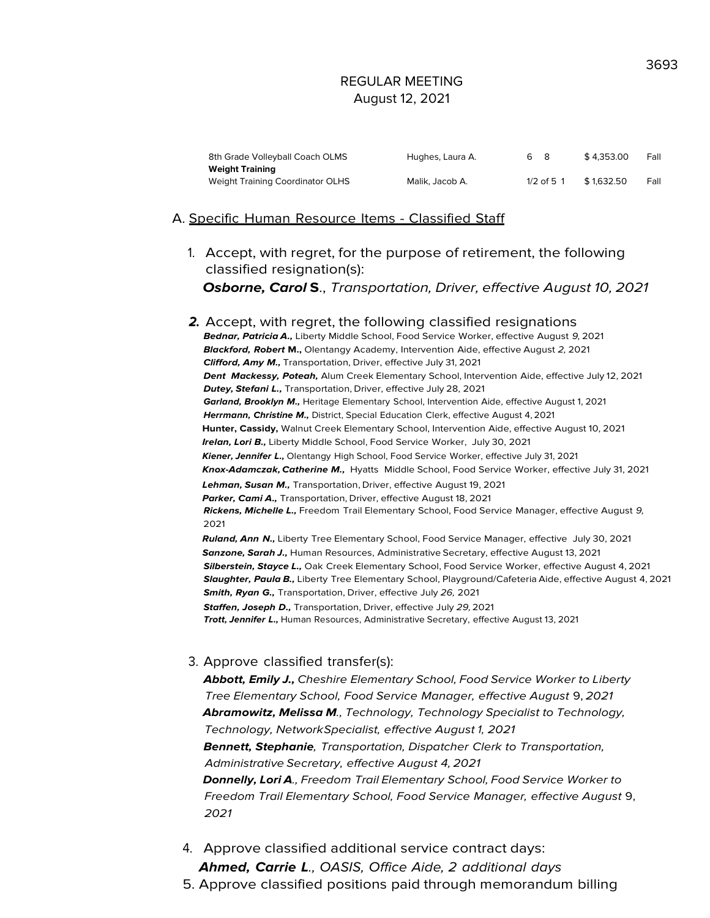| 8th Grade Volleyball Coach OLMS  | Hughes, Laura A. | 68           | \$4.353.00 | Fall |
|----------------------------------|------------------|--------------|------------|------|
| <b>Weight Training</b>           |                  |              |            |      |
| Weight Training Coordinator OLHS | Malik. Jacob A.  | $1/2$ of 5 1 | \$1.632.50 | Fall |

#### A. Specific Human Resource Items - Classified Staff

1. Accept, with regret, for the purpose of retirement, the following classified resignation(s):

**Osborne, Carol S**., Transportation, Driver, effective August 10, 2021

**2.** Accept, with regret, the following classified resignations **Bednar, Patricia A.,** Liberty Middle School, Food Service Worker, effective August 9, 2021 **Blackford, Robert M.,** Olentangy Academy, Intervention Aide, effective August 2, 2021 **Clifford, Amy M.,** Transportation, Driver, effective July 31, 2021 **Dent Mackessy, Poteah,** Alum Creek Elementary School, Intervention Aide, effective July 12, 2021 **Dutey, Stefani L.,** Transportation, Driver, effective July 28, 2021 **Garland, Brooklyn M.,** Heritage Elementary School, Intervention Aide, effective August 1, 2021 **Herrmann, Christine M.,** District, Special Education Clerk, effective August 4, 2021 **Hunter, Cassidy,** Walnut Creek Elementary School, Intervention Aide, effective August 10, 2021 **Irelan, Lori B.,** Liberty Middle School, Food Service Worker, July 30, 2021 **Kiener, Jennifer L.,** Olentangy High School, Food Service Worker, effective July 31, 2021 **Knox-Adamczak, Catherine M.,** Hyatts Middle School, Food Service Worker, effective July 31, 2021 **Lehman, Susan M.,** Transportation, Driver, effective August 19, 2021 **Parker, Cami A.,** Transportation, Driver, effective August 18, 2021 **Rickens, Michelle L.,** Freedom Trail Elementary School, Food Service Manager, effective August 9, 2021 **Ruland, Ann N.,** Liberty Tree Elementary School, Food Service Manager, effective July 30, 2021 **Sanzone, Sarah J.,** Human Resources, Administrative Secretary, effective August 13, 2021 **Silberstein, Stayce L.,** Oak Creek Elementary School, Food Service Worker, effective August 4, 2021 **Slaughter, Paula B.,** Liberty Tree Elementary School, Playground/Cafeteria Aide, effective August 4, 2021 **Smith, Ryan G.,** Transportation, Driver, effective July 26, 2021 **Staffen, Joseph D.,** Transportation, Driver, effective July 29,2021 **Trott, Jennifer L.,** Human Resources, Administrative Secretary, effective August 13, 2021

#### 3. Approve classified transfer(s):

**Abbott, Emily J.,** Cheshire Elementary School, Food Service Worker to Liberty Tree Elementary School, Food Service Manager, effective August 9, 2021 **Abramowitz, Melissa M**., Technology, Technology Specialist to Technology, Technology, NetworkSpecialist, effective August 1, 2021 **Bennett, Stephanie**, Transportation, Dispatcher Clerk to Transportation, Administrative Secretary, effective August 4, 2021 **Donnelly, Lori A**., Freedom Trail Elementary School, Food Service Worker to Freedom Trail Elementary School, Food Service Manager, effective August 9, 2021

4. Approve classified additional service contract days: **Ahmed, Carrie L**., OASIS, Office Aide, 2 additional days 3693

5. Approve classified positions paid through memorandum billing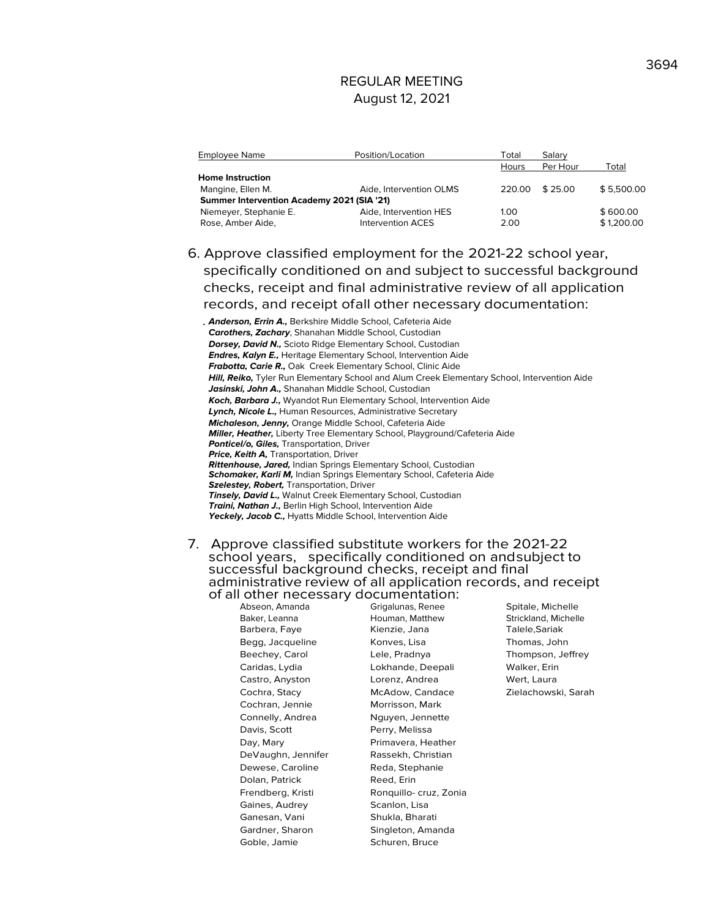| Employee Name                                     | Position/Location        | <sup>-</sup> otal | Salary   |            |
|---------------------------------------------------|--------------------------|-------------------|----------|------------|
|                                                   |                          | Hours             | Per Hour | Total      |
| <b>Home Instruction</b>                           |                          |                   |          |            |
| Mangine, Ellen M.                                 | Aide, Intervention OLMS  | 220.00            | \$25.00  | \$5.500.00 |
| <b>Summer Intervention Academy 2021 (SIA '21)</b> |                          |                   |          |            |
| Niemeyer, Stephanie E.                            | Aide, Intervention HES   | 1.00              |          | \$600.00   |
| Rose, Amber Aide,                                 | <b>Intervention ACES</b> | 2.00              |          | \$1,200.00 |
|                                                   |                          |                   |          |            |

6. Approve classified employment for the 2021-22 school year, specifically conditioned on and subject to successful background checks, receipt and final administrative review of all application records, and receipt ofall other necessary documentation:

**Anderson, Errin A.,** Berkshire Middle School, Cafeteria Aide **Carothers, Zachary**, Shanahan Middle School, Custodian **Dorsey, David N.,** Scioto Ridge Elementary School, Custodian **Endres, Kalyn E.,** Heritage Elementary School, Intervention Aide **Frabotta, Carie R.,** Oak Creek Elementary School, Clinic Aide **Hill, Reiko,** Tyler Run Elementary School and Alum Creek Elementary School, Intervention Aide **Jasinski, John A.,** Shanahan Middle School, Custodian **Koch, Barbara J.,** Wyandot Run Elementary School, Intervention Aide **Lynch, Nicole L.,** Human Resources, Administrative Secretary **Michaleson, Jenny,** Orange Middle School, Cafeteria Aide **Miller, Heather,** Liberty Tree Elementary School, Playground/Cafeteria Aide **Ponticel/o, Giles,** Transportation, Driver **Price, Keith A,** Transportation, Driver **Rittenhouse, Jared,** Indian Springs Elementary School, Custodian **Schomaker, Karli M,** Indian Springs Elementary School, Cafeteria Aide **Szelestey, Robert,** Transportation, Driver **Tinsely, David L.,** Walnut Creek Elementary School, Custodian **Traini, Nathan J.,** Berlin High School, Intervention Aide **Yeckely, Jacob C.,** Hyatts Middle School, Intervention Aide

7. Approve classified substitute workers for the 2021-22 school years, specifically conditioned on andsubject to successful background checks, receipt and final administrative review of all application records, and receipt of all other necessary documentation:<br>Abseon, Amanda Grigalunas, Renee

Baker, Leanna **Houman, Matthew** Strickland, Michelle Barbera, Faye **Kienzie, Jana** Talele, Sariak Begg, Jacqueline Konves, Lisa Thomas, John Beechey, Carol Lele, Pradnya Thompson, Jeffrey Caridas, Lydia Lokhande, Deepali Walker, Erin Castro, Anyston **Lorenz, Andrea** Wert, Laura Cochra, Stacy McAdow, Candace Zielachowski, Sarah Cochran, Jennie Morrisson, Mark Connelly, Andrea Nguyen, Jennette Davis, Scott Perry, Melissa Day, Mary **Primavera**, Heather DeVaughn, Jennifer Rassekh, Christian Dewese, Caroline Reda, Stephanie Dolan, Patrick Reed, Erin Frendberg, Kristi Ronquillo- cruz, Zonia Gaines, Audrey Scanlon, Lisa Ganesan, Vani Shukla, Bharati Gardner, Sharon Singleton, Amanda Goble, Jamie Schuren, Bruce

Grigalunas, Renee Spitale, Michelle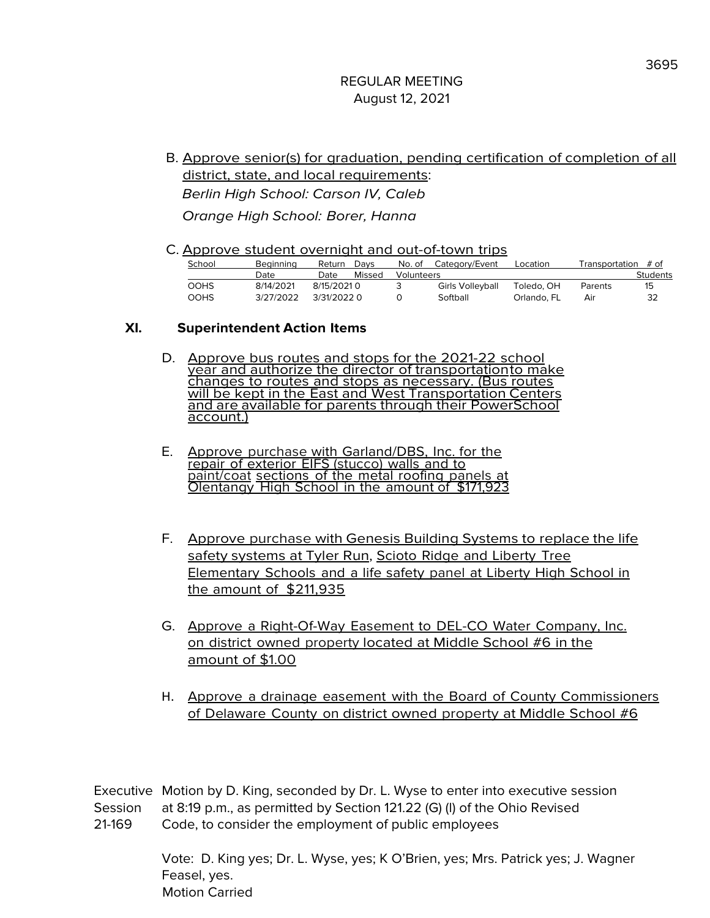- B. Approve senior(s) for graduation, pending certification of completion of all district, state, and local requirements: Berlin High School: Carson IV, Caleb Orange High School: Borer, Hanna
- C. Approve student overnight and out-of-town trips

| School      | Beainnina | Return      | Davs   | No. of     | Category/Event   | Location    | Fransportation | # of     |
|-------------|-----------|-------------|--------|------------|------------------|-------------|----------------|----------|
|             | Date      | Date        | Missed | Volunteers |                  |             |                | Students |
| <b>OOHS</b> | 8/14/2021 | 8/15/2021 0 |        |            | Girls Volleyball | Toledo. OH  | Parents        | 15       |
| <b>OOHS</b> | 3/27/2022 | 3/31/20220  |        |            | Softball         | Orlando. FL | Air            | 32       |

### **XI. Superintendent Action Items**

- D. Approve bus routes and stops for the 2021-22 school year and authorize the director of transportationto make<br>changes to routes and stops as necessary. (Bus routes will be kept in the East and West Transportation Centers and are available for parents through their PowerSchool account.)
- E. Approve purchase with Garland/DBS, Inc. for the repair of exterior EIFS (stucco) walls and to paint/coat sections of the metal roofing panels at Olentangy High School in the amount of \$171.9.
- F. Approve purchase with Genesis Building Systems to replace the life safety systems at Tyler Run, Scioto Ridge and Liberty Tree Elementary Schools and a life safety panel at Liberty High School in the amount of \$211,935
- G. Approve a Right-Of-Way Easement to DEL-CO Water Company, Inc. on district owned property located at Middle School #6 in the amount of \$1.00
- H. Approve a drainage easement with the Board of County Commissioners of Delaware County on district owned property at Middle School #6

Executive Motion by D. King, seconded by Dr. L. Wyse to enter into executive session Session at 8:19 p.m., as permitted by Section 121.22 (G) (l) of the Ohio Revised 21-169 Code, to consider the employment of public employees

> Vote: D. King yes; Dr. L. Wyse, yes; K O'Brien, yes; Mrs. Patrick yes; J. Wagner Feasel, yes. Motion Carried